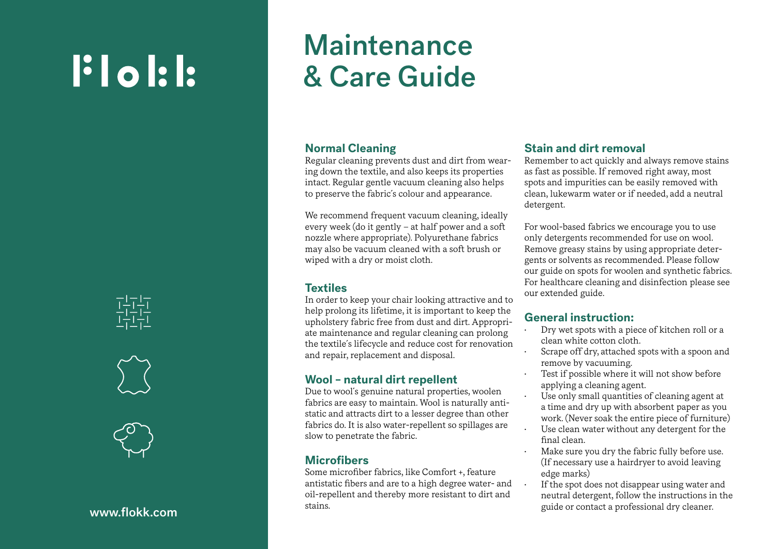# $\mathbf{F}$  ol:  $\mathbf{F}$







# **Maintenance** & Care Guide

## **Normal Cleaning**

Regular cleaning prevents dust and dirt from wear ing down the textile, and also keeps its properties intact. Regular gentle vacuum cleaning also helps to preserve the fabric´s colour and appearance.

We recommend frequent vacuum cleaning, ideally every week (do it gently – at half power and a soft nozzle where appropriate). Polyurethane fabrics may also be vacuum cleaned with a soft brush or wiped with a dry or moist cloth.

# **Textiles**

In order to keep your chair looking attractive and to help prolong its lifetime, it is important to keep the upholstery fabric free from dust and dirt. Appropri ate maintenance and regular cleaning can prolong the textile´s lifecycle and reduce cost for renovation and repair, replacement and disposal.

# **Wool – natural dirt repellent**

Due to wool´s genuine natural properties, woolen fabrics are easy to maintain. Wool is naturally anti static and attracts dirt to a lesser degree than other fabrics do. It is also water-repellent so spillages are slow to penetrate the fabric.

# **Microfibers**

Some microfiber fabrics, like Comfort +, feature antistatic fibers and are to a high degree water- and oil-repellent and thereby more resistant to dirt and stains.

# **Stain and dirt removal**

Remember to act quickly and always remove stains as fast as possible. If removed right away, most spots and impurities can be easily removed with clean, lukewarm water or if needed, add a neutral detergent.

For wool-based fabrics we encourage you to use only detergents recommended for use on wool. Remove greasy stains by using appropriate deter gents or solvents as recommended. Please follow our guide on spots for woolen and synthetic fabrics. For healthcare cleaning and disinfection please see our extended guide.

# **General instruction:**

- Dry wet spots with a piece of kitchen roll or a clean white cotton cloth.
- Scrape off dry, attached spots with a spoon and remove by vacuuming.
- Test if possible where it will not show before applying a cleaning agent.
- Use only small quantities of cleaning agent at a time and dry up with absorbent paper as you work. (Never soak the entire piece of furniture)
- Use clean water without any detergent for the final clean.
- Make sure you dry the fabric fully before use. (If necessary use a hairdryer to avoid leaving edge marks)
- If the spot does not disappear using water and neutral detergent, follow the instructions in the guide or contact a professional dry cleaner.